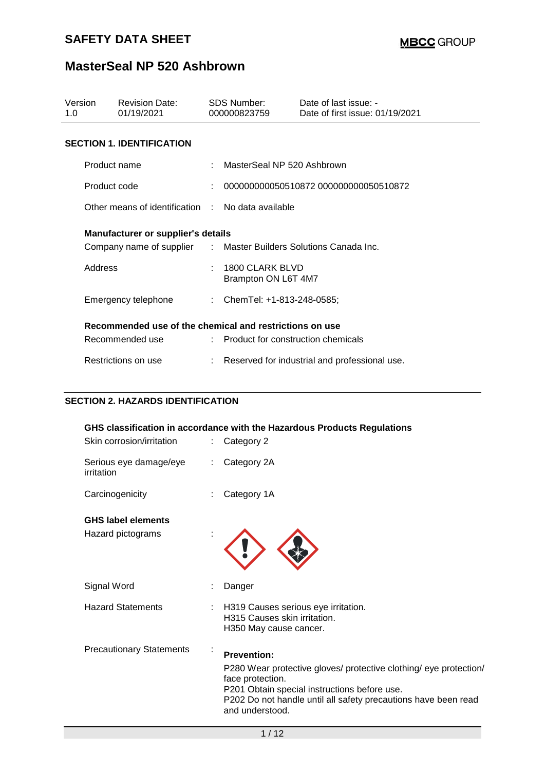| Version<br>1.0 | <b>Revision Date:</b><br>01/19/2021                              |    | SDS Number:<br>000000823759            | Date of last issue: -<br>Date of first issue: 01/19/2021 |
|----------------|------------------------------------------------------------------|----|----------------------------------------|----------------------------------------------------------|
|                | <b>SECTION 1. IDENTIFICATION</b>                                 |    |                                        |                                                          |
| Product name   |                                                                  |    | MasterSeal NP 520 Ashbrown             |                                                          |
| Product code   |                                                                  | ÷. |                                        | 000000000050510872 000000000050510872                    |
|                | Other means of identification : No data available                |    |                                        |                                                          |
|                | <b>Manufacturer or supplier's details</b>                        |    |                                        |                                                          |
|                | Company name of supplier : Master Builders Solutions Canada Inc. |    |                                        |                                                          |
| Address        |                                                                  | ÷  | 1800 CLARK BLVD<br>Brampton ON L6T 4M7 |                                                          |
|                | Emergency telephone                                              |    | : ChemTel: +1-813-248-0585;            |                                                          |
|                | Recommended use of the chemical and restrictions on use          |    |                                        |                                                          |
|                | Recommended use                                                  |    | : Product for construction chemicals   |                                                          |
|                | Restrictions on use                                              |    |                                        | Reserved for industrial and professional use.            |

## **SECTION 2. HAZARDS IDENTIFICATION**

| GHS classification in accordance with the Hazardous Products Regulations                                                                                                                                                                         |
|--------------------------------------------------------------------------------------------------------------------------------------------------------------------------------------------------------------------------------------------------|
| Category 2                                                                                                                                                                                                                                       |
| Category 2A                                                                                                                                                                                                                                      |
| Category 1A                                                                                                                                                                                                                                      |
|                                                                                                                                                                                                                                                  |
|                                                                                                                                                                                                                                                  |
| Danger                                                                                                                                                                                                                                           |
| H319 Causes serious eye irritation.<br>H315 Causes skin irritation.<br>H350 May cause cancer.                                                                                                                                                    |
| <b>Prevention:</b><br>P280 Wear protective gloves/ protective clothing/ eye protection/<br>face protection.<br>P201 Obtain special instructions before use.<br>P202 Do not handle until all safety precautions have been read<br>and understood. |
|                                                                                                                                                                                                                                                  |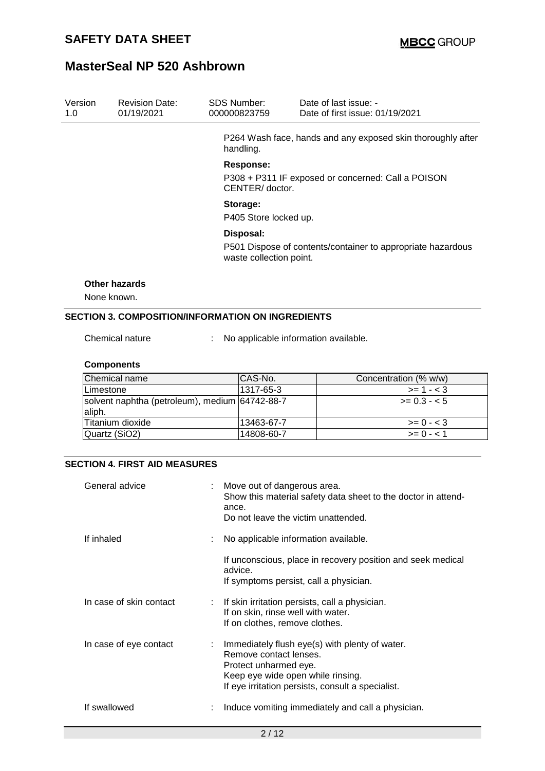| Version<br>1.0 | <b>Revision Date:</b><br>01/19/2021                      | <b>SDS Number:</b>                                                                     | 000000823759                         |  | Date of last issue: -<br>Date of first issue: 01/19/2021    |  |  |
|----------------|----------------------------------------------------------|----------------------------------------------------------------------------------------|--------------------------------------|--|-------------------------------------------------------------|--|--|
|                |                                                          |                                                                                        | handling.                            |  | P264 Wash face, hands and any exposed skin thoroughly after |  |  |
|                |                                                          |                                                                                        | <b>Response:</b>                     |  |                                                             |  |  |
|                |                                                          |                                                                                        | CENTER/doctor.                       |  | P308 + P311 IF exposed or concerned: Call a POISON          |  |  |
|                | Storage:<br>P405 Store locked up.                        |                                                                                        |                                      |  |                                                             |  |  |
|                |                                                          |                                                                                        | Disposal:                            |  |                                                             |  |  |
|                |                                                          | P501 Dispose of contents/container to appropriate hazardous<br>waste collection point. |                                      |  |                                                             |  |  |
|                | <b>Other hazards</b>                                     |                                                                                        |                                      |  |                                                             |  |  |
|                | None known.                                              |                                                                                        |                                      |  |                                                             |  |  |
|                | <b>SECTION 3. COMPOSITION/INFORMATION ON INGREDIENTS</b> |                                                                                        |                                      |  |                                                             |  |  |
|                | Chemical nature                                          |                                                                                        | No applicable information available. |  |                                                             |  |  |
|                | <b>Components</b>                                        |                                                                                        |                                      |  |                                                             |  |  |
|                | Chemical name                                            |                                                                                        | CAS-No.                              |  | Concentration (% w/w)                                       |  |  |
|                | Limestone                                                |                                                                                        | 1317-65-3                            |  | $>= 1 - 3$                                                  |  |  |
| aliph.         | solvent naphtha (petroleum), medium                      |                                                                                        | 64742-88-7                           |  | $>= 0.3 - 5$                                                |  |  |

Titanium dioxide 13463-67-7 >= 0 - < 3 Quartz (SiO2) |14808-60-7 | >= 0 - < 1

## **SECTION 4. FIRST AID MEASURES**

| General advice          | Move out of dangerous area.<br>Show this material safety data sheet to the doctor in attend-<br>ance.<br>Do not leave the victim unattended.                                                |
|-------------------------|---------------------------------------------------------------------------------------------------------------------------------------------------------------------------------------------|
| If inhaled              | No applicable information available.                                                                                                                                                        |
|                         | If unconscious, place in recovery position and seek medical<br>advice.<br>If symptoms persist, call a physician.                                                                            |
| In case of skin contact | : If skin irritation persists, call a physician.<br>If on skin, rinse well with water.<br>If on clothes, remove clothes.                                                                    |
| In case of eye contact  | Immediately flush eye(s) with plenty of water.<br>Remove contact lenses.<br>Protect unharmed eye.<br>Keep eye wide open while rinsing.<br>If eye irritation persists, consult a specialist. |
| If swallowed            | Induce vomiting immediately and call a physician.                                                                                                                                           |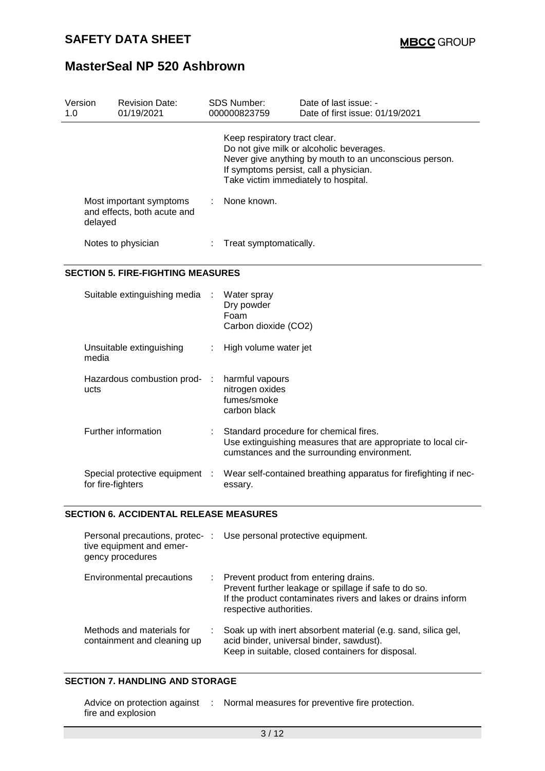| Version<br>1.0 |         | <b>Revision Date:</b><br>01/19/2021                    |    | <b>SDS Number:</b><br>000000823759 | Date of last issue: -<br>Date of first issue: 01/19/2021                                                                                                                             |
|----------------|---------|--------------------------------------------------------|----|------------------------------------|--------------------------------------------------------------------------------------------------------------------------------------------------------------------------------------|
|                |         |                                                        |    | Keep respiratory tract clear.      | Do not give milk or alcoholic beverages.<br>Never give anything by mouth to an unconscious person.<br>If symptoms persist, call a physician.<br>Take victim immediately to hospital. |
|                | delayed | Most important symptoms<br>and effects, both acute and | ÷. | None known.                        |                                                                                                                                                                                      |
|                |         | Notes to physician                                     |    | Treat symptomatically.             |                                                                                                                                                                                      |
|                |         | <b>SECTION 5. FIRE-FIGHTING MEASURES</b>               |    |                                    |                                                                                                                                                                                      |
|                |         | Suitable extinguishing media :                         |    | Water spray<br>n                   |                                                                                                                                                                                      |

|                                                     | Dry powder<br>Foam<br>Carbon dioxide (CO2)                                                                                                             |
|-----------------------------------------------------|--------------------------------------------------------------------------------------------------------------------------------------------------------|
| Unsuitable extinguishing<br>media                   | High volume water jet                                                                                                                                  |
| Hazardous combustion prod- :<br>ucts                | harmful vapours<br>nitrogen oxides<br>fumes/smoke<br>carbon black                                                                                      |
| Further information                                 | Standard procedure for chemical fires.<br>Use extinguishing measures that are appropriate to local cir-<br>cumstances and the surrounding environment. |
| Special protective equipment :<br>for fire-fighters | Wear self-contained breathing apparatus for firefighting if nec-<br>essary.                                                                            |
|                                                     |                                                                                                                                                        |

### **SECTION 6. ACCIDENTAL RELEASE MEASURES**

| tive equipment and emer-<br>gency procedures             | Personal precautions, protec- : Use personal protective equipment.                                                                                                                           |
|----------------------------------------------------------|----------------------------------------------------------------------------------------------------------------------------------------------------------------------------------------------|
| Environmental precautions                                | : Prevent product from entering drains.<br>Prevent further leakage or spillage if safe to do so.<br>If the product contaminates rivers and lakes or drains inform<br>respective authorities. |
| Methods and materials for<br>containment and cleaning up | Soak up with inert absorbent material (e.g. sand, silica gel,<br>acid binder, universal binder, sawdust).<br>Keep in suitable, closed containers for disposal.                               |

### **SECTION 7. HANDLING AND STORAGE**

| Advice on protection against | Normal measures for preventive fire protection. |
|------------------------------|-------------------------------------------------|
| fire and explosion           |                                                 |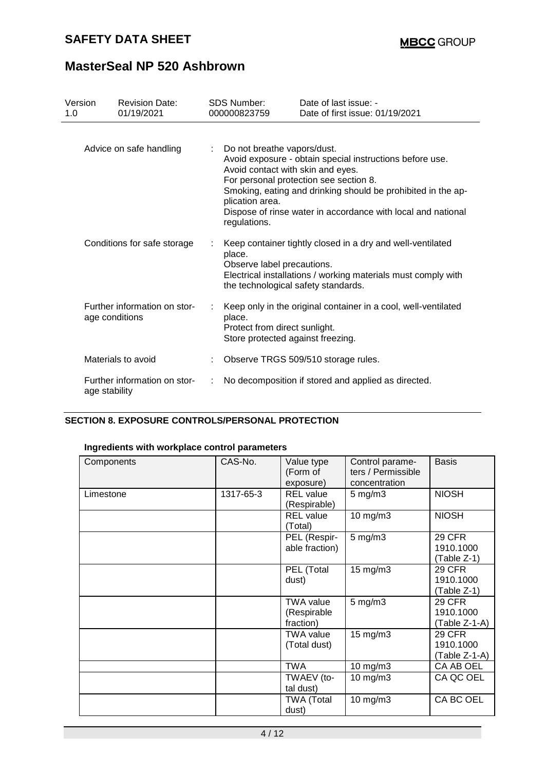## **SAFETY DATA SHEET**

# **MasterSeal NP 520 Ashbrown**

| Version<br>1.0 | <b>Revision Date:</b><br>01/19/2021            | <b>SDS Number:</b><br>000000823759                                                                    | Date of last issue: -<br>Date of first issue: 01/19/2021                                                                                                                                                                           |
|----------------|------------------------------------------------|-------------------------------------------------------------------------------------------------------|------------------------------------------------------------------------------------------------------------------------------------------------------------------------------------------------------------------------------------|
|                | Advice on safe handling                        | : Do not breathe vapors/dust.<br>Avoid contact with skin and eyes.<br>plication area.<br>regulations. | Avoid exposure - obtain special instructions before use.<br>For personal protection see section 8.<br>Smoking, eating and drinking should be prohibited in the ap-<br>Dispose of rinse water in accordance with local and national |
|                | Conditions for safe storage                    | place.<br>Observe label precautions.<br>the technological safety standards.                           | Keep container tightly closed in a dry and well-ventilated<br>Electrical installations / working materials must comply with                                                                                                        |
|                | Further information on stor-<br>age conditions | place.<br>Protect from direct sunlight.<br>Store protected against freezing.                          | Keep only in the original container in a cool, well-ventilated                                                                                                                                                                     |
|                | Materials to avoid                             |                                                                                                       | Observe TRGS 509/510 storage rules.                                                                                                                                                                                                |
| age stability  | Further information on stor-                   |                                                                                                       | No decomposition if stored and applied as directed.                                                                                                                                                                                |

## **SECTION 8. EXPOSURE CONTROLS/PERSONAL PROTECTION**

## **Ingredients with workplace control parameters**

| Components | CAS-No.   | Value type<br>(Form of<br>exposure)          | Control parame-<br>ters / Permissible<br>concentration | <b>Basis</b>                                |
|------------|-----------|----------------------------------------------|--------------------------------------------------------|---------------------------------------------|
| Limestone  | 1317-65-3 | <b>REL</b> value<br>(Respirable)             | $5 \text{ mg/m}$ 3                                     | <b>NIOSH</b>                                |
|            |           | <b>REL</b> value<br>(Total)                  | $10$ mg/m $3$                                          | <b>NIOSH</b>                                |
|            |           | PEL (Respir-<br>able fraction)               | $5$ mg/m $3$                                           | <b>29 CFR</b><br>1910.1000<br>$(Table Z-1)$ |
|            |           | PEL (Total<br>dust)                          | $15 \text{ mg/m}$                                      | <b>29 CFR</b><br>1910.1000<br>(Table Z-1)   |
|            |           | <b>TWA value</b><br>(Respirable<br>fraction) | $5$ mg/m $3$                                           | <b>29 CFR</b><br>1910.1000<br>(Table Z-1-A) |
|            |           | <b>TWA value</b><br>(Total dust)             | $15$ mg/m $3$                                          | <b>29 CFR</b><br>1910.1000<br>(Table Z-1-A) |
|            |           | TWA                                          | $10$ mg/m $3$                                          | CA AB OEL                                   |
|            |           | TWAEV (to-<br>tal dust)                      | $10$ mg/m $3$                                          | CA QC OEL                                   |
|            |           | <b>TWA (Total</b><br>dust)                   | $10$ mg/m $3$                                          | CA BC OEL                                   |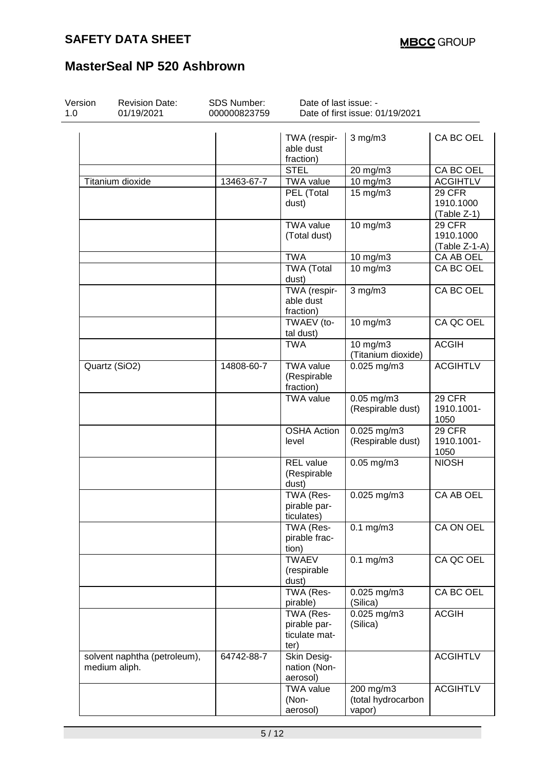| Version<br>1.0 | <b>Revision Date:</b><br>01/19/2021           | SDS Number:<br>000000823759                  | Date of last issue: -                              | Date of first issue: 01/19/2021           |                                             |
|----------------|-----------------------------------------------|----------------------------------------------|----------------------------------------------------|-------------------------------------------|---------------------------------------------|
|                |                                               |                                              | TWA (respir-<br>able dust<br>fraction)             | $3$ mg/m $3$                              | CA BC OEL                                   |
|                |                                               |                                              | <b>STEL</b>                                        | $20 \text{ mg/m}$                         | CA BC OEL                                   |
|                | Titanium dioxide                              | 13463-67-7                                   | <b>TWA value</b>                                   | 10 mg/m3                                  | <b>ACGIHTLV</b>                             |
|                |                                               |                                              | PEL (Total<br>dust)                                | 15 mg/m3                                  | <b>29 CFR</b><br>1910.1000<br>(Table Z-1)   |
|                |                                               |                                              | TWA value<br>(Total dust)                          | 10 mg/m3                                  | <b>29 CFR</b><br>1910.1000<br>(Table Z-1-A) |
|                |                                               |                                              | <b>TWA</b>                                         | 10 mg/m3                                  | CA AB OEL                                   |
|                |                                               |                                              | <b>TWA (Total</b><br>dust)                         | 10 mg/m3                                  | CA BC OEL                                   |
|                |                                               |                                              | TWA (respir-<br>able dust<br>fraction)             | $3$ mg/m $3$                              | <b>CA BC OEL</b>                            |
|                |                                               |                                              | TWAEV (to-<br>tal dust)                            | 10 mg/m3                                  | CA QC OEL                                   |
|                |                                               |                                              | <b>TWA</b>                                         | $10$ mg/m $3$<br>(Titanium dioxide)       | <b>ACGIH</b>                                |
| Quartz (SiO2)  | 14808-60-7                                    | <b>TWA value</b><br>(Respirable<br>fraction) | $0.025$ mg/m3                                      | <b>ACGIHTLV</b>                           |                                             |
|                |                                               |                                              | <b>TWA value</b>                                   | $0.05$ mg/m $3$<br>(Respirable dust)      | <b>29 CFR</b><br>1910.1001-<br>1050         |
|                |                                               |                                              | <b>OSHA Action</b><br>level                        | $0.025$ mg/m3<br>(Respirable dust)        | <b>29 CFR</b><br>1910.1001-<br>1050         |
|                |                                               |                                              | <b>REL</b> value<br>(Respirable<br>dust)           | $0.05$ mg/m $3$                           | <b>NIOSH</b>                                |
|                |                                               |                                              | TWA (Res-<br>pirable par-<br>ticulates)            | 0.025 mg/m3                               | CA AB OEL                                   |
|                |                                               |                                              | TWA (Res-<br>pirable frac-<br>tion)                | $0.1$ mg/m $3$                            | CA ON OEL                                   |
|                |                                               |                                              | <b>TWAEV</b><br>(respirable<br>dust)               | $0.1$ mg/m $3$                            | CA QC OEL                                   |
|                |                                               |                                              | TWA (Res-<br>pirable)                              | $0.025$ mg/m3<br>(Silica)                 | CA BC OEL                                   |
|                |                                               |                                              | TWA (Res-<br>pirable par-<br>ticulate mat-<br>ter) | $0.025$ mg/m3<br>(Silica)                 | <b>ACGIH</b>                                |
|                | solvent naphtha (petroleum),<br>medium aliph. | 64742-88-7                                   | Skin Desig-<br>nation (Non-<br>aerosol)            |                                           | <b>ACGIHTLV</b>                             |
|                |                                               |                                              | <b>TWA value</b><br>(Non-<br>aerosol)              | 200 mg/m3<br>(total hydrocarbon<br>vapor) | <b>ACGIHTLV</b>                             |
|                |                                               |                                              |                                                    |                                           |                                             |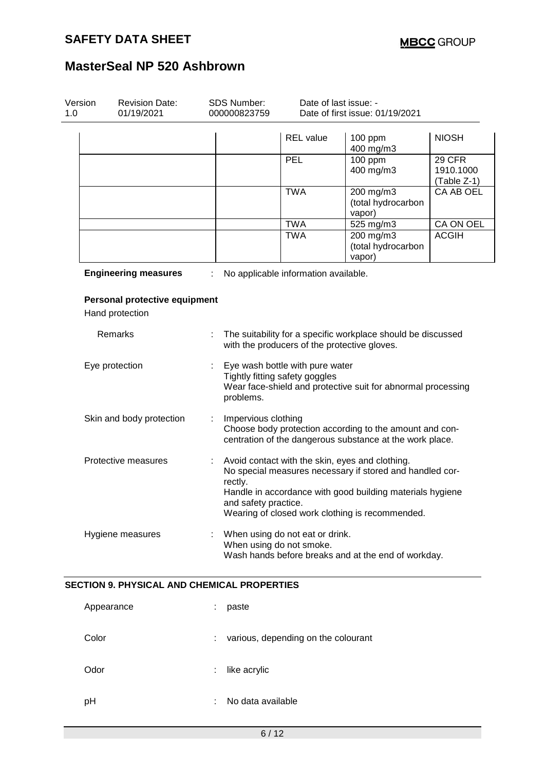| Version<br>1.0 | <b>Revision Date:</b><br>01/19/2021                | <b>SDS Number:</b><br>000000823759 |                                                                                                                                                | Date of last issue: -<br>Date of first issue: 01/19/2021    |                                                                                                                                                                                                                             |                                           |  |
|----------------|----------------------------------------------------|------------------------------------|------------------------------------------------------------------------------------------------------------------------------------------------|-------------------------------------------------------------|-----------------------------------------------------------------------------------------------------------------------------------------------------------------------------------------------------------------------------|-------------------------------------------|--|
|                |                                                    |                                    |                                                                                                                                                | <b>REL</b> value                                            | 100 ppm<br>400 mg/m3                                                                                                                                                                                                        | <b>NIOSH</b>                              |  |
|                |                                                    |                                    |                                                                                                                                                | <b>PEL</b>                                                  | 100 ppm<br>400 mg/m3                                                                                                                                                                                                        | <b>29 CFR</b><br>1910.1000<br>(Table Z-1) |  |
|                |                                                    |                                    |                                                                                                                                                | <b>TWA</b>                                                  | 200 mg/m3<br>(total hydrocarbon<br>vapor)                                                                                                                                                                                   | CA AB OEL                                 |  |
|                |                                                    |                                    |                                                                                                                                                | <b>TWA</b>                                                  | 525 mg/m3                                                                                                                                                                                                                   | CA ON OEL                                 |  |
|                |                                                    |                                    |                                                                                                                                                | <b>TWA</b>                                                  | 200 mg/m3<br>(total hydrocarbon<br>vapor)                                                                                                                                                                                   | <b>ACGIH</b>                              |  |
|                | <b>Engineering measures</b>                        |                                    |                                                                                                                                                | No applicable information available.                        |                                                                                                                                                                                                                             |                                           |  |
|                | Personal protective equipment<br>Hand protection   |                                    |                                                                                                                                                |                                                             |                                                                                                                                                                                                                             |                                           |  |
|                | Remarks                                            | ÷                                  |                                                                                                                                                |                                                             | The suitability for a specific workplace should be discussed<br>with the producers of the protective gloves.                                                                                                                |                                           |  |
|                | Eye protection                                     |                                    | Eye wash bottle with pure water<br>Tightly fitting safety goggles<br>Wear face-shield and protective suit for abnormal processing<br>problems. |                                                             |                                                                                                                                                                                                                             |                                           |  |
|                | Skin and body protection                           |                                    | Impervious clothing<br>Choose body protection according to the amount and con-<br>centration of the dangerous substance at the work place.     |                                                             |                                                                                                                                                                                                                             |                                           |  |
|                | Protective measures                                | ÷                                  | rectly.<br>and safety practice.                                                                                                                |                                                             | Avoid contact with the skin, eyes and clothing.<br>No special measures necessary if stored and handled cor-<br>Handle in accordance with good building materials hygiene<br>Wearing of closed work clothing is recommended. |                                           |  |
|                | Hygiene measures                                   |                                    |                                                                                                                                                | When using do not eat or drink.<br>When using do not smoke. | Wash hands before breaks and at the end of workday.                                                                                                                                                                         |                                           |  |
|                | <b>SECTION 9. PHYSICAL AND CHEMICAL PROPERTIES</b> |                                    |                                                                                                                                                |                                                             |                                                                                                                                                                                                                             |                                           |  |
|                | Appearance                                         |                                    | paste                                                                                                                                          |                                                             |                                                                                                                                                                                                                             |                                           |  |
| Color          |                                                    |                                    |                                                                                                                                                | various, depending on the colourant                         |                                                                                                                                                                                                                             |                                           |  |
| Odor           |                                                    |                                    | like acrylic                                                                                                                                   |                                                             |                                                                                                                                                                                                                             |                                           |  |

pH : No data available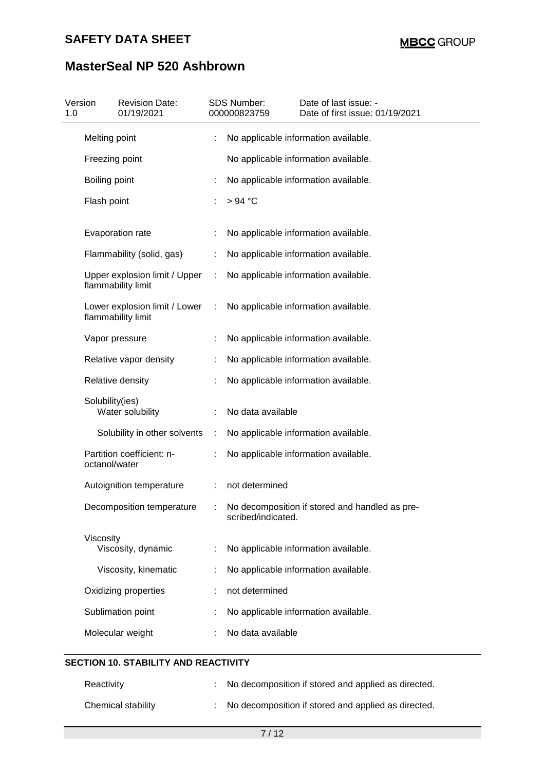# **SAFETY DATA SHEET**

# **MasterSeal NP 520 Ashbrown**

| Version<br>1.0 |                 | <b>Revision Date:</b><br>01/19/2021                 |           | SDS Number:<br>000000823759 | Date of last issue: -<br>Date of first issue: 01/19/2021 |
|----------------|-----------------|-----------------------------------------------------|-----------|-----------------------------|----------------------------------------------------------|
|                | Melting point   |                                                     |           |                             | No applicable information available.                     |
|                | Freezing point  |                                                     |           |                             | No applicable information available.                     |
|                | Boiling point   |                                                     |           |                             | No applicable information available.                     |
|                | Flash point     |                                                     |           | $>94$ °C                    |                                                          |
|                |                 | Evaporation rate                                    |           |                             | No applicable information available.                     |
|                |                 | Flammability (solid, gas)                           |           |                             | No applicable information available.                     |
|                |                 | Upper explosion limit / Upper<br>flammability limit | ÷         |                             | No applicable information available.                     |
|                |                 | Lower explosion limit / Lower<br>flammability limit | $\sim$ 10 |                             | No applicable information available.                     |
|                |                 | Vapor pressure                                      |           |                             | No applicable information available.                     |
|                |                 | Relative vapor density                              |           |                             | No applicable information available.                     |
|                |                 | Relative density                                    |           |                             | No applicable information available.                     |
|                | Solubility(ies) | Water solubility                                    |           | No data available           |                                                          |
|                |                 | Solubility in other solvents                        | ÷         |                             | No applicable information available.                     |
|                | octanol/water   | Partition coefficient: n-                           | ÷         |                             | No applicable information available.                     |
|                |                 | Autoignition temperature                            | ÷         | not determined              |                                                          |
|                |                 | Decomposition temperature                           |           | scribed/indicated.          | : No decomposition if stored and handled as pre-         |
|                | Viscosity       | Viscosity, dynamic                                  |           |                             | No applicable information available.                     |
|                |                 | Viscosity, kinematic                                |           |                             | No applicable information available.                     |
|                |                 | Oxidizing properties                                |           | not determined              |                                                          |
|                |                 | Sublimation point                                   |           |                             | No applicable information available.                     |
|                |                 | Molecular weight                                    |           | No data available           |                                                          |
|                |                 |                                                     |           |                             |                                                          |

## **SECTION 10. STABILITY AND REACTIVITY**

| Reactivity         | : No decomposition if stored and applied as directed. |
|--------------------|-------------------------------------------------------|
| Chemical stability | : No decomposition if stored and applied as directed. |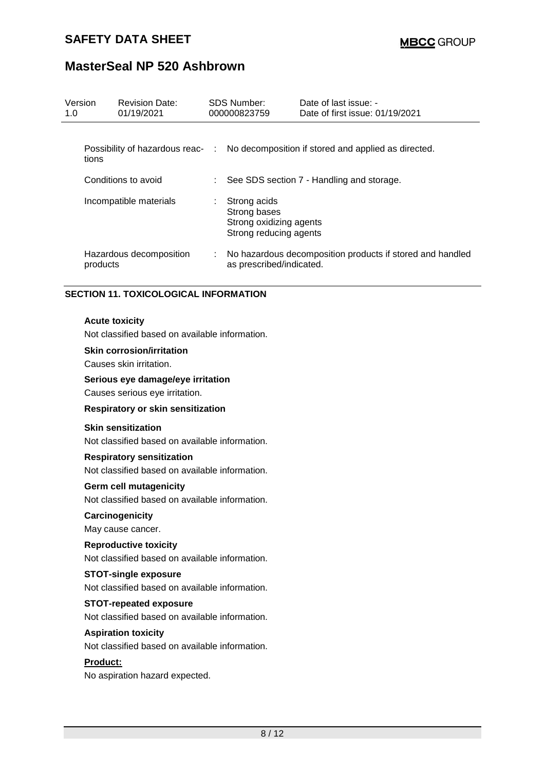| Version<br>1.0 |          | <b>Revision Date:</b><br>01/19/2021 |    | SDS Number:<br>000000823759                                                       | Date of last issue: -<br>Date of first issue: 01/19/2021                             |
|----------------|----------|-------------------------------------|----|-----------------------------------------------------------------------------------|--------------------------------------------------------------------------------------|
|                | tions    |                                     |    |                                                                                   | Possibility of hazardous reac- : No decomposition if stored and applied as directed. |
|                |          | Conditions to avoid                 |    |                                                                                   | : See SDS section 7 - Handling and storage.                                          |
|                |          | Incompatible materials              | ÷. | Strong acids<br>Strong bases<br>Strong oxidizing agents<br>Strong reducing agents |                                                                                      |
|                | products | Hazardous decomposition             |    | as prescribed/indicated.                                                          | : No hazardous decomposition products if stored and handled                          |

### **SECTION 11. TOXICOLOGICAL INFORMATION**

#### **Acute toxicity**

Not classified based on available information.

## **Skin corrosion/irritation**

Causes skin irritation.

#### **Serious eye damage/eye irritation**

Causes serious eye irritation.

#### **Respiratory or skin sensitization**

### **Skin sensitization**

Not classified based on available information.

#### **Respiratory sensitization**

Not classified based on available information.

### **Germ cell mutagenicity**

Not classified based on available information.

### **Carcinogenicity**

May cause cancer.

### **Reproductive toxicity**

Not classified based on available information.

### **STOT-single exposure**

Not classified based on available information.

#### **STOT-repeated exposure**

Not classified based on available information.

#### **Aspiration toxicity**

Not classified based on available information.

## **Product:**

No aspiration hazard expected.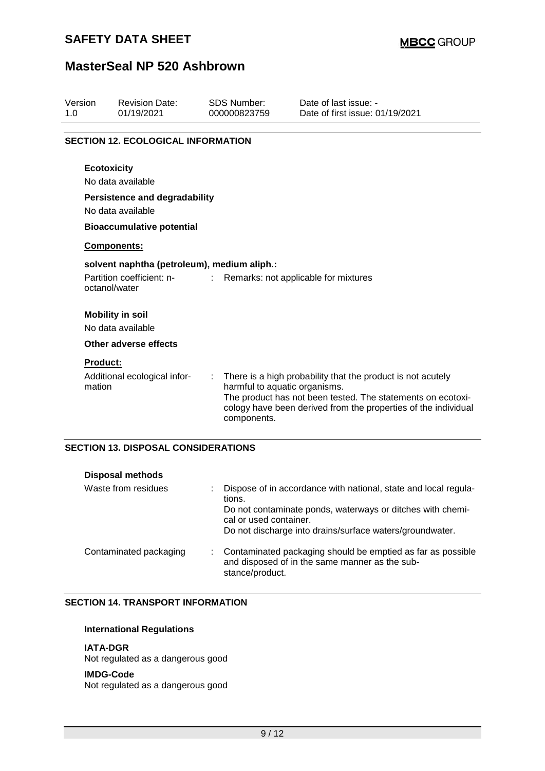## **SAFETY DATA SHEET**

## **MasterSeal NP 520 Ashbrown**

| Version<br>1.0            | <b>Revision Date:</b><br>01/19/2021                       | <b>SDS Number:</b><br>000000823759                | Date of last issue: -<br>Date of first issue: 01/19/2021                                                                                                                                     |  |  |  |  |  |  |
|---------------------------|-----------------------------------------------------------|---------------------------------------------------|----------------------------------------------------------------------------------------------------------------------------------------------------------------------------------------------|--|--|--|--|--|--|
|                           | <b>SECTION 12. ECOLOGICAL INFORMATION</b>                 |                                                   |                                                                                                                                                                                              |  |  |  |  |  |  |
|                           | <b>Ecotoxicity</b>                                        |                                                   |                                                                                                                                                                                              |  |  |  |  |  |  |
|                           | No data available                                         |                                                   |                                                                                                                                                                                              |  |  |  |  |  |  |
|                           | <b>Persistence and degradability</b><br>No data available |                                                   |                                                                                                                                                                                              |  |  |  |  |  |  |
|                           | <b>Bioaccumulative potential</b>                          |                                                   |                                                                                                                                                                                              |  |  |  |  |  |  |
|                           | Components:                                               |                                                   |                                                                                                                                                                                              |  |  |  |  |  |  |
|                           | solvent naphtha (petroleum), medium aliph.:               |                                                   |                                                                                                                                                                                              |  |  |  |  |  |  |
|                           | Partition coefficient: n-<br>octanol/water                | t.                                                | Remarks: not applicable for mixtures                                                                                                                                                         |  |  |  |  |  |  |
|                           | <b>Mobility in soil</b><br>No data available              |                                                   |                                                                                                                                                                                              |  |  |  |  |  |  |
|                           | Other adverse effects                                     |                                                   |                                                                                                                                                                                              |  |  |  |  |  |  |
| <b>Product:</b><br>mation | Additional ecological infor-                              | ÷<br>harmful to aquatic organisms.<br>components. | There is a high probability that the product is not acutely<br>The product has not been tested. The statements on ecotoxi-<br>cology have been derived from the properties of the individual |  |  |  |  |  |  |

## **SECTION 13. DISPOSAL CONSIDERATIONS**

| <b>Disposal methods</b> |                                                                                                                                                                                                                               |
|-------------------------|-------------------------------------------------------------------------------------------------------------------------------------------------------------------------------------------------------------------------------|
| Waste from residues     | Dispose of in accordance with national, state and local regula-<br>tions.<br>Do not contaminate ponds, waterways or ditches with chemi-<br>cal or used container.<br>Do not discharge into drains/surface waters/groundwater. |
| Contaminated packaging  | Contaminated packaging should be emptied as far as possible<br>and disposed of in the same manner as the sub-<br>stance/product.                                                                                              |

### **SECTION 14. TRANSPORT INFORMATION**

## **International Regulations**

### **IATA-DGR**

Not regulated as a dangerous good

#### **IMDG-Code**

Not regulated as a dangerous good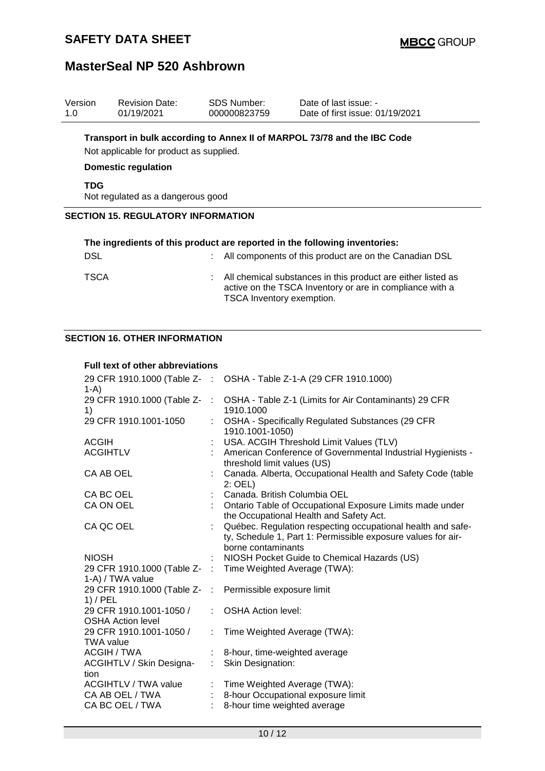| Version<br>1.0                            | <b>Revision Date:</b><br>01/19/2021                                                                                                               | <b>SDS Number:</b><br>000000823759 | Date of last issue: -<br>Date of first issue: 01/19/2021                                                                             |  |  |  |  |  |  |
|-------------------------------------------|---------------------------------------------------------------------------------------------------------------------------------------------------|------------------------------------|--------------------------------------------------------------------------------------------------------------------------------------|--|--|--|--|--|--|
|                                           | Transport in bulk according to Annex II of MARPOL 73/78 and the IBC Code<br>Not applicable for product as supplied.<br><b>Domestic regulation</b> |                                    |                                                                                                                                      |  |  |  |  |  |  |
| <b>TDG</b>                                | Not regulated as a dangerous good                                                                                                                 |                                    |                                                                                                                                      |  |  |  |  |  |  |
| <b>SECTION 15. REGULATORY INFORMATION</b> |                                                                                                                                                   |                                    |                                                                                                                                      |  |  |  |  |  |  |
| DSL                                       |                                                                                                                                                   |                                    | The ingredients of this product are reported in the following inventories:<br>All components of this product are on the Canadian DSL |  |  |  |  |  |  |
| TSCA                                      |                                                                                                                                                   |                                    | All chemical substances in this product are either listed as<br>active on the TSCA Inventory or are in compliance with a             |  |  |  |  |  |  |

TSCA Inventory exemption.

## **SECTION 16. OTHER INFORMATION**

### **Full text of other abbreviations**

| $1-A$                                               |                               | 29 CFR 1910.1000 (Table Z- : OSHA - Table Z-1-A (29 CFR 1910.1000)                                                                                |
|-----------------------------------------------------|-------------------------------|---------------------------------------------------------------------------------------------------------------------------------------------------|
| 29 CFR 1910.1000 (Table Z-<br>1)                    | $\sim 100$                    | OSHA - Table Z-1 (Limits for Air Contaminants) 29 CFR<br>1910.1000                                                                                |
| 29 CFR 1910.1001-1050                               |                               | OSHA - Specifically Regulated Substances (29 CFR<br>1910.1001-1050)                                                                               |
| <b>ACGIH</b>                                        |                               | USA. ACGIH Threshold Limit Values (TLV)                                                                                                           |
| <b>ACGIHTLV</b>                                     |                               | : American Conference of Governmental Industrial Hygienists -<br>threshold limit values (US)                                                      |
| CA AB OEL                                           |                               | Canada. Alberta, Occupational Health and Safety Code (table<br>$2:$ OEL)                                                                          |
| CA BC OEL                                           |                               | Canada. British Columbia OEL                                                                                                                      |
| CA ON OEL                                           |                               | Ontario Table of Occupational Exposure Limits made under<br>the Occupational Health and Safety Act.                                               |
| CA QC OEL                                           |                               | Québec. Regulation respecting occupational health and safe-<br>ty, Schedule 1, Part 1: Permissible exposure values for air-<br>borne contaminants |
| <b>NIOSH</b>                                        |                               | NIOSH Pocket Guide to Chemical Hazards (US)                                                                                                       |
| 29 CFR 1910.1000 (Table Z-<br>1-A) / TWA value      |                               | : Time Weighted Average (TWA):                                                                                                                    |
| 29 CFR 1910.1000 (Table Z-<br>$1)$ / PEL            | $\mathcal{L}_{\mathcal{A}}$ . | Permissible exposure limit                                                                                                                        |
| 29 CFR 1910.1001-1050 /<br><b>OSHA Action level</b> |                               | <b>OSHA Action level:</b>                                                                                                                         |
| 29 CFR 1910.1001-1050 /<br><b>TWA value</b>         |                               | Time Weighted Average (TWA):                                                                                                                      |
| <b>ACGIH / TWA</b>                                  |                               | 8-hour, time-weighted average                                                                                                                     |
| ACGIHTLV / Skin Designa-<br>tion                    | $\mathbb{R}^n$                | Skin Designation:                                                                                                                                 |
| <b>ACGIHTLV / TWA value</b>                         |                               | Time Weighted Average (TWA):                                                                                                                      |
| CA AB OEL / TWA                                     |                               | 8-hour Occupational exposure limit                                                                                                                |
| CA BC OEL / TWA                                     |                               | 8-hour time weighted average                                                                                                                      |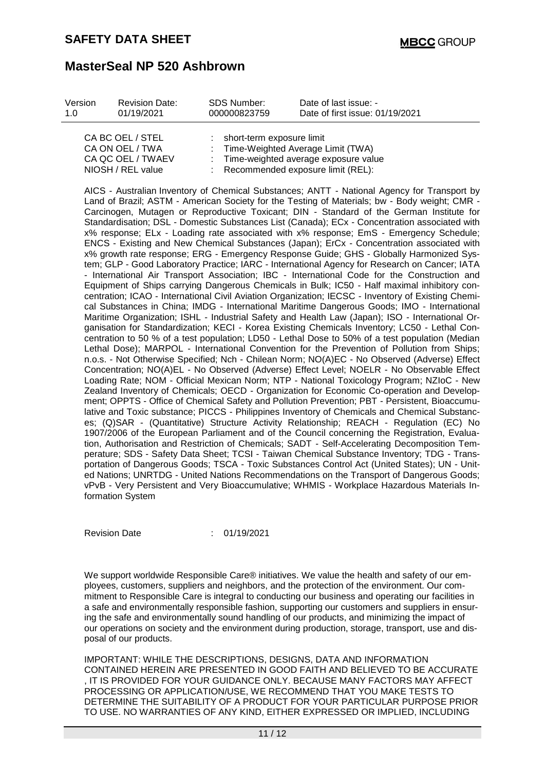| Version | <b>Revision Date:</b>                             | SDS Number:                 | Date of last issue: -                                               |
|---------|---------------------------------------------------|-----------------------------|---------------------------------------------------------------------|
| 1 O     | 01/19/2021                                        | 000000823759                | Date of first issue: 01/19/2021                                     |
|         | CA BC OEL / STEL<br>$C_A$ $C_M$ $C_H$ $C_H$ $R_M$ | : short-term exposure limit | $\overline{1}$ Time Meighted Aussage Limit $\overline{T}(M\Lambda)$ |

| CA ON OEL / TWA<br>: Time-Weighted Average Limit (TWA)      |  |
|-------------------------------------------------------------|--|
| CA QC OEL / TWAEV<br>: Time-weighted average exposure value |  |
| NIOSH / REL value<br>Recommended exposure limit (REL):      |  |

AICS - Australian Inventory of Chemical Substances; ANTT - National Agency for Transport by Land of Brazil; ASTM - American Society for the Testing of Materials; bw - Body weight; CMR - Carcinogen, Mutagen or Reproductive Toxicant; DIN - Standard of the German Institute for Standardisation; DSL - Domestic Substances List (Canada); ECx - Concentration associated with x% response; ELx - Loading rate associated with x% response; EmS - Emergency Schedule; ENCS - Existing and New Chemical Substances (Japan); ErCx - Concentration associated with x% growth rate response; ERG - Emergency Response Guide; GHS - Globally Harmonized System; GLP - Good Laboratory Practice; IARC - International Agency for Research on Cancer; IATA - International Air Transport Association; IBC - International Code for the Construction and Equipment of Ships carrying Dangerous Chemicals in Bulk; IC50 - Half maximal inhibitory concentration; ICAO - International Civil Aviation Organization; IECSC - Inventory of Existing Chemical Substances in China; IMDG - International Maritime Dangerous Goods; IMO - International Maritime Organization; ISHL - Industrial Safety and Health Law (Japan); ISO - International Organisation for Standardization; KECI - Korea Existing Chemicals Inventory; LC50 - Lethal Concentration to 50 % of a test population; LD50 - Lethal Dose to 50% of a test population (Median Lethal Dose); MARPOL - International Convention for the Prevention of Pollution from Ships; n.o.s. - Not Otherwise Specified; Nch - Chilean Norm; NO(A)EC - No Observed (Adverse) Effect Concentration; NO(A)EL - No Observed (Adverse) Effect Level; NOELR - No Observable Effect Loading Rate; NOM - Official Mexican Norm; NTP - National Toxicology Program; NZIoC - New Zealand Inventory of Chemicals; OECD - Organization for Economic Co-operation and Development; OPPTS - Office of Chemical Safety and Pollution Prevention; PBT - Persistent, Bioaccumulative and Toxic substance; PICCS - Philippines Inventory of Chemicals and Chemical Substances; (Q)SAR - (Quantitative) Structure Activity Relationship; REACH - Regulation (EC) No 1907/2006 of the European Parliament and of the Council concerning the Registration, Evaluation, Authorisation and Restriction of Chemicals; SADT - Self-Accelerating Decomposition Temperature; SDS - Safety Data Sheet; TCSI - Taiwan Chemical Substance Inventory; TDG - Transportation of Dangerous Goods; TSCA - Toxic Substances Control Act (United States); UN - United Nations; UNRTDG - United Nations Recommendations on the Transport of Dangerous Goods; vPvB - Very Persistent and Very Bioaccumulative; WHMIS - Workplace Hazardous Materials Information System

Revision Date : 01/19/2021

We support worldwide Responsible Care® initiatives. We value the health and safety of our employees, customers, suppliers and neighbors, and the protection of the environment. Our commitment to Responsible Care is integral to conducting our business and operating our facilities in a safe and environmentally responsible fashion, supporting our customers and suppliers in ensuring the safe and environmentally sound handling of our products, and minimizing the impact of our operations on society and the environment during production, storage, transport, use and disposal of our products.

IMPORTANT: WHILE THE DESCRIPTIONS, DESIGNS, DATA AND INFORMATION CONTAINED HEREIN ARE PRESENTED IN GOOD FAITH AND BELIEVED TO BE ACCURATE , IT IS PROVIDED FOR YOUR GUIDANCE ONLY. BECAUSE MANY FACTORS MAY AFFECT PROCESSING OR APPLICATION/USE, WE RECOMMEND THAT YOU MAKE TESTS TO DETERMINE THE SUITABILITY OF A PRODUCT FOR YOUR PARTICULAR PURPOSE PRIOR TO USE. NO WARRANTIES OF ANY KIND, EITHER EXPRESSED OR IMPLIED, INCLUDING